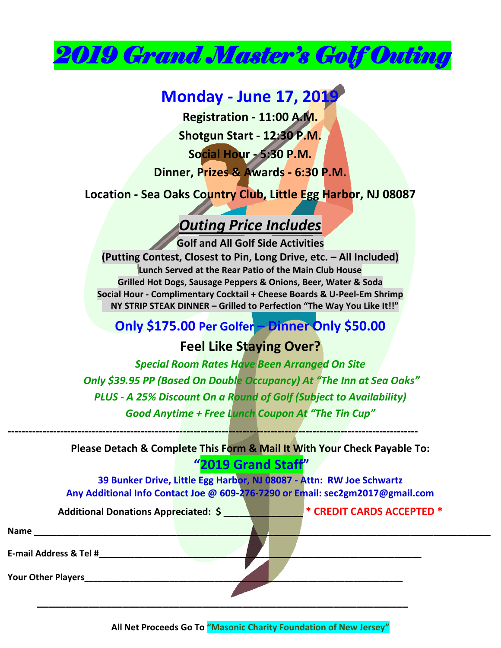

### **Monday - June 17, 2019**

**Registration - 11:00 A.M.**

**Shotgun Start - 12:30 P.M.**

**Social Hour - 5:30 P.M.**

**Dinner, Prizes & Awards - 6:30 P.M.**

**Location - Sea Oaks Country Club, Little Egg Harbor, NJ 08087**

## *Outing Price Includes*

**Golf and All Golf Side Activities (Putting Contest, Closest to Pin, Long Drive, etc. – All Included) Lunch Served at the Rear Patio of the Main Club House Grilled Hot Dogs, Sausage Peppers & Onions, Beer, Water & Soda Social Hour - Complimentary Cocktail + Cheese Boards & U-Peel-Em Shrimp NY STRIP STEAK DINNER – Grilled to Perfection "The Way You Like It!!"**

### **Only \$175.00 Per Golfer – Dinner Only \$50.00**

#### **Feel Like Staying Over?**

*Special Room Rates Have Been Arranged On Site Only \$39.95 PP (Based On Double Occupancy) At "The Inn at Sea Oaks" PLUS - A 25% Discount On a Round of Golf (Subject to Availability) Good Anytime + Free Lunch Coupon At "The Tin Cup"*

**Please Detach & Complete This Form & Mail It With Your Check Payable To: "2019 Grand Staff"**

**---------------------------------------------------------------------------------------------------------------------**

**E-mail Address & Tel #\_\_\_\_\_\_\_\_\_\_\_\_\_\_\_\_\_\_\_\_\_\_\_\_\_\_\_\_\_\_\_\_\_\_\_\_\_\_\_\_\_\_\_\_\_\_\_\_\_\_\_\_\_\_\_\_\_\_\_\_\_\_\_\_\_\_\_\_\_\_\_\_**

**39 Bunker Drive, Little Egg Harbor, NJ 08087 - Attn: RW Joe Schwartz Any Additional Info Contact Joe @ 609-276-7290 or Email: sec2gm2017@gmail.com**

**Name \_\_\_\_\_\_\_\_\_\_\_\_\_\_\_\_\_\_\_\_\_\_\_\_\_\_\_\_\_\_\_\_\_\_\_\_\_\_\_\_\_\_\_\_\_\_\_\_\_\_\_\_\_\_\_\_\_\_\_\_\_\_\_\_\_\_\_\_\_\_\_\_\_\_\_\_\_\_\_\_**

| <b>Additional Donations Appreciated: \$</b> |  |  | $\P^*$ CREDIT CARDS ACCEPTED $^*$ |
|---------------------------------------------|--|--|-----------------------------------|
|---------------------------------------------|--|--|-----------------------------------|

| Your Other Players |  |
|--------------------|--|
|                    |  |
|                    |  |